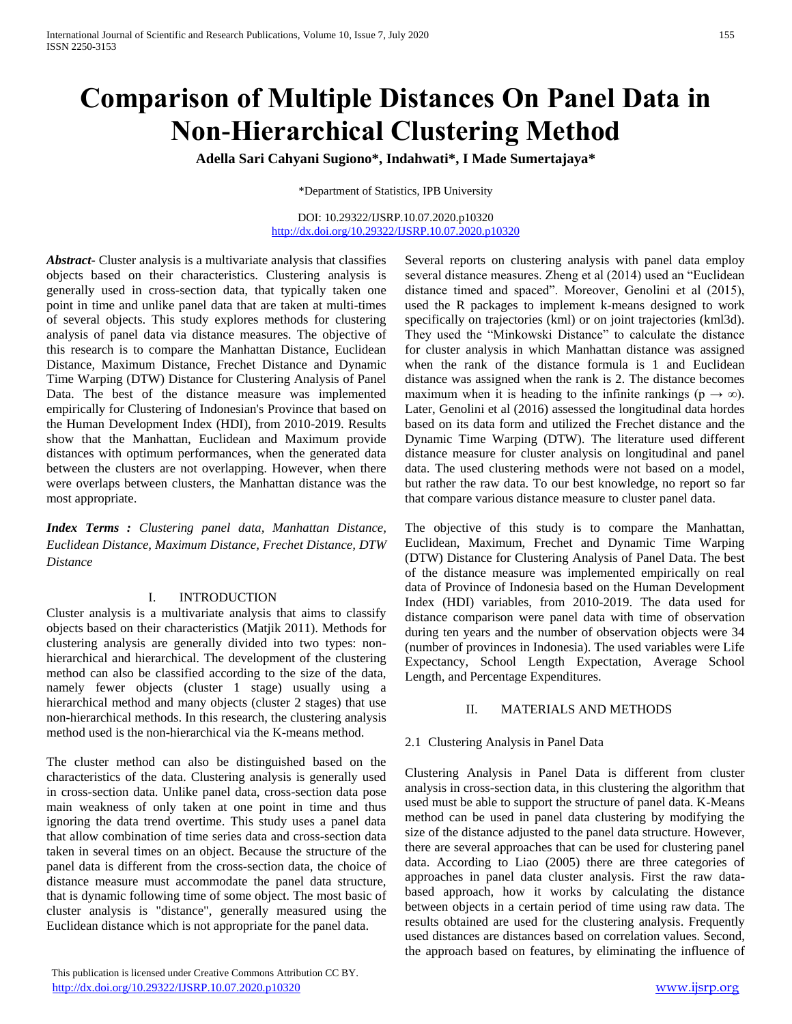# **Comparison of Multiple Distances On Panel Data in Non-Hierarchical Clustering Method**

**Adella Sari Cahyani Sugiono\*, Indahwati\*, I Made Sumertajaya\***

\*Department of Statistics, IPB University

#### DOI: 10.29322/IJSRP.10.07.2020.p10320 <http://dx.doi.org/10.29322/IJSRP.10.07.2020.p10320>

*Abstract***-** Cluster analysis is a multivariate analysis that classifies objects based on their characteristics. Clustering analysis is generally used in cross-section data, that typically taken one point in time and unlike panel data that are taken at multi-times of several objects. This study explores methods for clustering analysis of panel data via distance measures. The objective of this research is to compare the Manhattan Distance, Euclidean Distance, Maximum Distance, Frechet Distance and Dynamic Time Warping (DTW) Distance for Clustering Analysis of Panel Data. The best of the distance measure was implemented empirically for Clustering of Indonesian's Province that based on the Human Development Index (HDI), from 2010-2019. Results show that the Manhattan, Euclidean and Maximum provide distances with optimum performances, when the generated data between the clusters are not overlapping. However, when there were overlaps between clusters, the Manhattan distance was the most appropriate.

*Index Terms : Clustering panel data, Manhattan Distance, Euclidean Distance, Maximum Distance, Frechet Distance, DTW Distance*

# I. INTRODUCTION

Cluster analysis is a multivariate analysis that aims to classify objects based on their characteristics (Matjik 2011). Methods for clustering analysis are generally divided into two types: nonhierarchical and hierarchical. The development of the clustering method can also be classified according to the size of the data, namely fewer objects (cluster 1 stage) usually using a hierarchical method and many objects (cluster 2 stages) that use non-hierarchical methods. In this research, the clustering analysis method used is the non-hierarchical via the K-means method.

The cluster method can also be distinguished based on the characteristics of the data. Clustering analysis is generally used in cross-section data. Unlike panel data, cross-section data pose main weakness of only taken at one point in time and thus ignoring the data trend overtime. This study uses a panel data that allow combination of time series data and cross-section data taken in several times on an object. Because the structure of the panel data is different from the cross-section data, the choice of distance measure must accommodate the panel data structure, that is dynamic following time of some object. The most basic of cluster analysis is "distance", generally measured using the Euclidean distance which is not appropriate for the panel data.

 This publication is licensed under Creative Commons Attribution CC BY. <http://dx.doi.org/10.29322/IJSRP.10.07.2020.p10320> [www.ijsrp.org](http://ijsrp.org/)

Several reports on clustering analysis with panel data employ several distance measures. Zheng et al (2014) used an "Euclidean distance timed and spaced". Moreover, Genolini et al (2015), used the R packages to implement k-means designed to work specifically on trajectories (kml) or on joint trajectories (kml3d). They used the "Minkowski Distance" to calculate the distance for cluster analysis in which Manhattan distance was assigned when the rank of the distance formula is 1 and Euclidean distance was assigned when the rank is 2. The distance becomes maximum when it is heading to the infinite rankings ( $p \rightarrow \infty$ ). Later, Genolini et al (2016) assessed the longitudinal data hordes based on its data form and utilized the Frechet distance and the Dynamic Time Warping (DTW). The literature used different distance measure for cluster analysis on longitudinal and panel data. The used clustering methods were not based on a model, but rather the raw data. To our best knowledge, no report so far that compare various distance measure to cluster panel data.

The objective of this study is to compare the Manhattan, Euclidean, Maximum, Frechet and Dynamic Time Warping (DTW) Distance for Clustering Analysis of Panel Data. The best of the distance measure was implemented empirically on real data of Province of Indonesia based on the Human Development Index (HDI) variables, from 2010-2019. The data used for distance comparison were panel data with time of observation during ten years and the number of observation objects were 34 (number of provinces in Indonesia). The used variables were Life Expectancy, School Length Expectation, Average School Length, and Percentage Expenditures.

## II. MATERIALS AND METHODS

## 2.1 Clustering Analysis in Panel Data

Clustering Analysis in Panel Data is different from cluster analysis in cross-section data, in this clustering the algorithm that used must be able to support the structure of panel data. K-Means method can be used in panel data clustering by modifying the size of the distance adjusted to the panel data structure. However, there are several approaches that can be used for clustering panel data. According to Liao (2005) there are three categories of approaches in panel data cluster analysis. First the raw databased approach, how it works by calculating the distance between objects in a certain period of time using raw data. The results obtained are used for the clustering analysis. Frequently used distances are distances based on correlation values. Second, the approach based on features, by eliminating the influence of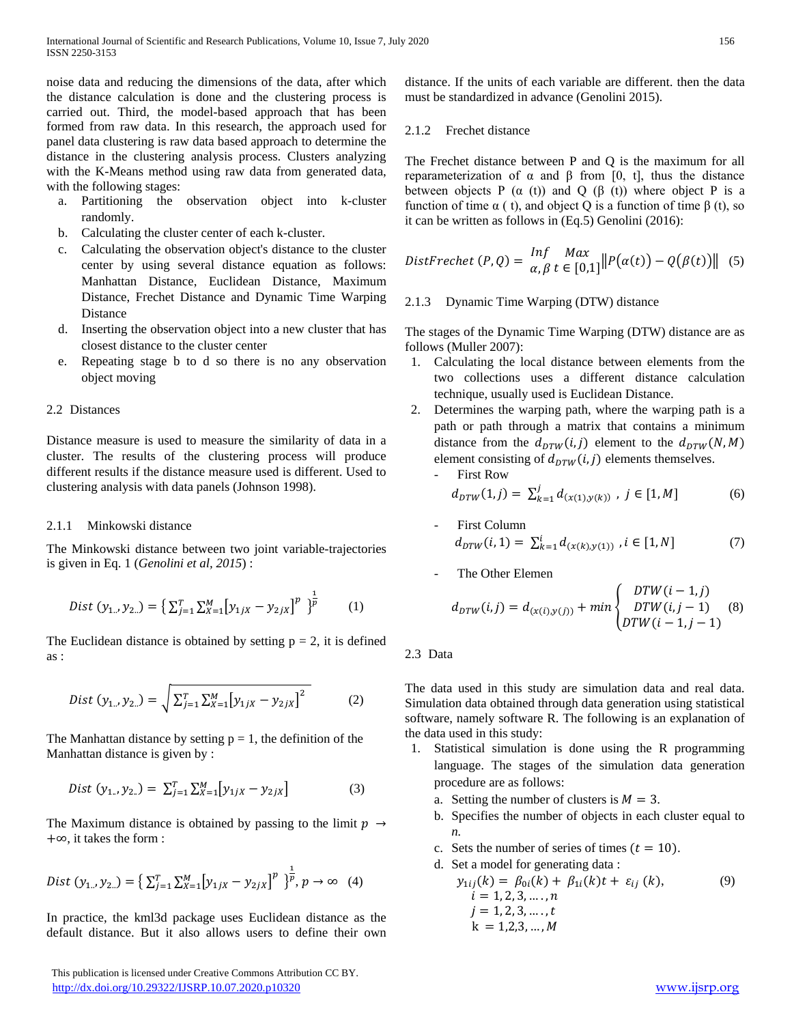noise data and reducing the dimensions of the data, after which the distance calculation is done and the clustering process is carried out. Third, the model-based approach that has been formed from raw data. In this research, the approach used for panel data clustering is raw data based approach to determine the distance in the clustering analysis process. Clusters analyzing with the K-Means method using raw data from generated data, with the following stages:

- a. Partitioning the observation object into k-cluster randomly.
- b. Calculating the cluster center of each k-cluster.
- c. Calculating the observation object's distance to the cluster center by using several distance equation as follows: Manhattan Distance, Euclidean Distance, Maximum Distance, Frechet Distance and Dynamic Time Warping Distance
- d. Inserting the observation object into a new cluster that has closest distance to the cluster center
- e. Repeating stage b to d so there is no any observation object moving

## 2.2 Distances

Distance measure is used to measure the similarity of data in a cluster. The results of the clustering process will produce different results if the distance measure used is different. Used to clustering analysis with data panels (Johnson 1998).

# 2.1.1 Minkowski distance

The Minkowski distance between two joint variable-trajectories is given in Eq. 1 (*Genolini et al, 2015*) :

$$
Dist (y_{1..}, y_{2..}) = \left\{ \sum_{j=1}^{T} \sum_{X=1}^{M} [y_{1jX} - y_{2jX}]^{p} \right\}^{\frac{1}{p}} \tag{1}
$$

The Euclidean distance is obtained by setting  $p = 2$ , it is defined as :

Dist 
$$
(y_{1..}, y_{2..}) = \sqrt{\sum_{j=1}^{T} \sum_{X=1}^{M} [y_{1jX} - y_{2jX}]^{2}}
$$
 (2)

The Manhattan distance by setting  $p = 1$ , the definition of the Manhattan distance is given by :

$$
Dist (y_{1..}, y_{2..}) = \sum_{j=1}^{T} \sum_{X=1}^{M} [y_{1jX} - y_{2jX}]
$$
 (3)

The Maximum distance is obtained by passing to the limit  $p \rightarrow$ +∞, it takes the form :

$$
Dist (y_{1..}, y_{2..}) = \left\{ \sum_{j=1}^{T} \sum_{X=1}^{M} [y_{1jX} - y_{2jX}]^{p} \right\}^{\frac{1}{p}}, p \to \infty \quad (4)
$$

In practice, the kml3d package uses Euclidean distance as the default distance. But it also allows users to define their own

 This publication is licensed under Creative Commons Attribution CC BY. <http://dx.doi.org/10.29322/IJSRP.10.07.2020.p10320> [www.ijsrp.org](http://ijsrp.org/)

distance. If the units of each variable are different. then the data must be standardized in advance (Genolini 2015).

## 2.1.2 Frechet distance

The Frechet distance between P and Q is the maximum for all reparameterization of α and β from [0, t], thus the distance between objects P  $(\alpha$  (t)) and Q  $(\beta$  (t)) where object P is a function of time α ( t), and object Q is a function of time β (t), so it can be written as follows in (Eq.5) Genolini (2016):

$$
DistFrechet (P, Q) = \frac{lnf}{\alpha, \beta} \frac{Max}{t \in [0, 1]} || P(\alpha(t)) - Q(\beta(t)) ||
$$
 (5)

# 2.1.3 Dynamic Time Warping (DTW) distance

The stages of the Dynamic Time Warping (DTW) distance are as follows (Muller 2007):

- 1. Calculating the local distance between elements from the two collections uses a different distance calculation technique, usually used is Euclidean Distance.
- 2. Determines the warping path, where the warping path is a path or path through a matrix that contains a minimum distance from the  $d_{DTW}(i, j)$  element to the  $d_{DTW}(N, M)$ element consisting of  $d_{DTW}(i,j)$  elements themselves.
	- First Row  $d_{DTW}(1,j) = \sum_{k=1}^{j} d_{(x(1),y(k))}$  $\int_{k=1}^{J} d_{(x(1),y(k))}$ ,  $j \in [1,M]$  (6)
	- First Column  $d_{DTW}(i,1) = \sum_{k=1}^{i} d_{(x(k),y(1))}$ ,  $i \in [1,N]$  (7)
	- The Other Elemen

$$
d_{DTW}(i,j) = d_{(x(i),y(j))} + min \begin{cases} DTW(i-1,j) \\ DTW(i,j-1) \\ DTW(i-1,j-1) \end{cases}
$$
 (8)

2.3 Data

The data used in this study are simulation data and real data. Simulation data obtained through data generation using statistical software, namely software R. The following is an explanation of the data used in this study:

- 1. Statistical simulation is done using the R programming language. The stages of the simulation data generation procedure are as follows:
	- a. Setting the number of clusters is  $M = 3$ .
	- b. Specifies the number of objects in each cluster equal to *n.*
	- c. Sets the number of series of times  $(t = 10)$ .
	- d. Set a model for generating data :

$$
y_{1ij}(k) = \beta_{0i}(k) + \beta_{1i}(k)t + \varepsilon_{ij}(k),
$$
  
\n $i = 1, 2, 3, ..., n$   
\n $j = 1, 2, 3, ..., t$   
\n $k = 1, 2, 3, ..., M$  (9)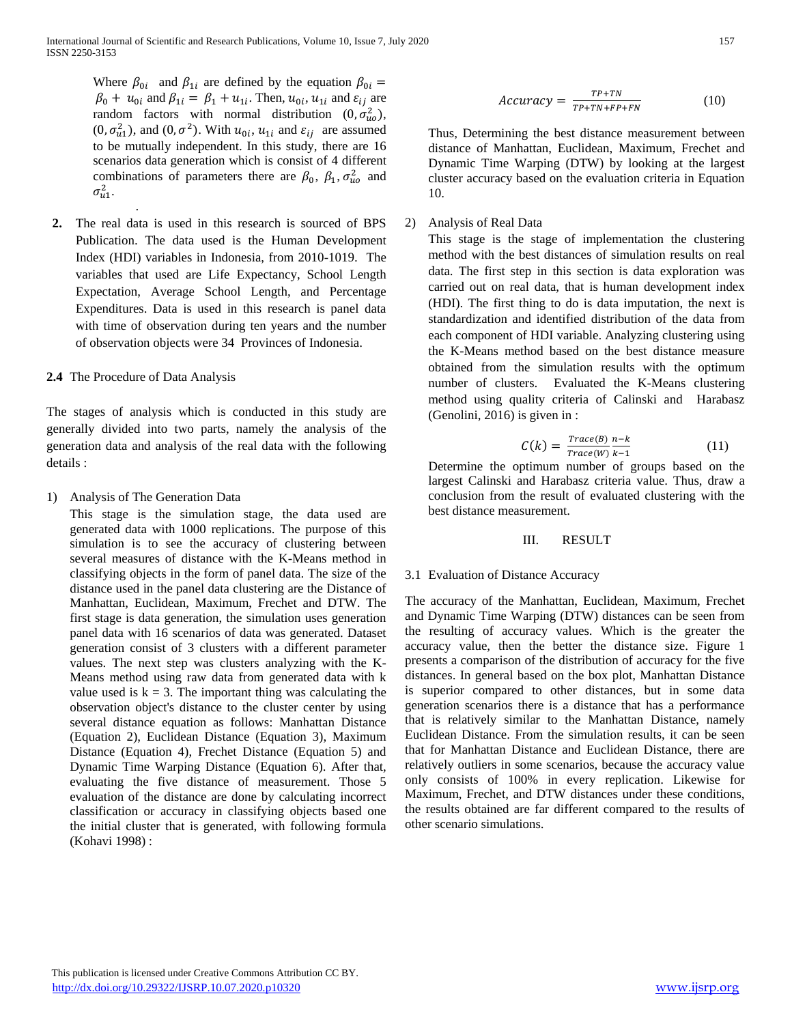Where  $\beta_{0i}$  and  $\beta_{1i}$  are defined by the equation  $\beta_{0i}$  =  $\beta_0 + u_{0i}$  and  $\beta_{1i} = \beta_1 + u_{1i}$ . Then,  $u_{0i}$ ,  $u_{1i}$  and  $\varepsilon_{ij}$  are random factors with normal distribution  $(0, \sigma_{uo}^2)$ ,  $(0, \sigma_{u1}^2)$ , and  $(0, \sigma^2)$ . With  $u_{0i}$ ,  $u_{1i}$  and  $\varepsilon_{ij}$  are assumed to be mutually independent. In this study, there are 16 scenarios data generation which is consist of 4 different combinations of parameters there are  $\beta_0$ ,  $\beta_1$ ,  $\sigma_{u0}^2$  and  $\sigma_{u1}^2$ . .

**2.** The real data is used in this research is sourced of BPS Publication. The data used is the Human Development Index (HDI) variables in Indonesia, from 2010-1019. The variables that used are Life Expectancy, School Length Expectation, Average School Length, and Percentage Expenditures. Data is used in this research is panel data with time of observation during ten years and the number of observation objects were 34 Provinces of Indonesia.

## **2.4** The Procedure of Data Analysis

The stages of analysis which is conducted in this study are generally divided into two parts, namely the analysis of the generation data and analysis of the real data with the following details :

1) Analysis of The Generation Data

This stage is the simulation stage, the data used are generated data with 1000 replications. The purpose of this simulation is to see the accuracy of clustering between several measures of distance with the K-Means method in classifying objects in the form of panel data. The size of the distance used in the panel data clustering are the Distance of Manhattan, Euclidean, Maximum, Frechet and DTW. The first stage is data generation, the simulation uses generation panel data with 16 scenarios of data was generated. Dataset generation consist of 3 clusters with a different parameter values. The next step was clusters analyzing with the K-Means method using raw data from generated data with k value used is  $k = 3$ . The important thing was calculating the observation object's distance to the cluster center by using several distance equation as follows: Manhattan Distance (Equation 2), Euclidean Distance (Equation 3), Maximum Distance (Equation 4), Frechet Distance (Equation 5) and Dynamic Time Warping Distance (Equation 6). After that, evaluating the five distance of measurement. Those 5 evaluation of the distance are done by calculating incorrect classification or accuracy in classifying objects based one the initial cluster that is generated, with following formula (Kohavi 1998) :

$$
Accuracy = \frac{TP + TN}{TP + TN + FP + FN}
$$
 (10)

Thus, Determining the best distance measurement between distance of Manhattan, Euclidean, Maximum, Frechet and Dynamic Time Warping (DTW) by looking at the largest cluster accuracy based on the evaluation criteria in Equation 10.

## 2) Analysis of Real Data

This stage is the stage of implementation the clustering method with the best distances of simulation results on real data. The first step in this section is data exploration was carried out on real data, that is human development index (HDI). The first thing to do is data imputation, the next is standardization and identified distribution of the data from each component of HDI variable. Analyzing clustering using the K-Means method based on the best distance measure obtained from the simulation results with the optimum number of clusters. Evaluated the K-Means clustering method using quality criteria of Calinski and Harabasz (Genolini, 2016) is given in :

$$
C(k) = \frac{Trace(B)}{Trace(W)} \frac{n-k}{k-1}
$$
 (11)

Determine the optimum number of groups based on the largest Calinski and Harabasz criteria value. Thus, draw a conclusion from the result of evaluated clustering with the best distance measurement.

## III. RESULT

## 3.1 Evaluation of Distance Accuracy

The accuracy of the Manhattan, Euclidean, Maximum, Frechet and Dynamic Time Warping (DTW) distances can be seen from the resulting of accuracy values. Which is the greater the accuracy value, then the better the distance size. Figure 1 presents a comparison of the distribution of accuracy for the five distances. In general based on the box plot, Manhattan Distance is superior compared to other distances, but in some data generation scenarios there is a distance that has a performance that is relatively similar to the Manhattan Distance, namely Euclidean Distance. From the simulation results, it can be seen that for Manhattan Distance and Euclidean Distance, there are relatively outliers in some scenarios, because the accuracy value only consists of 100% in every replication. Likewise for Maximum, Frechet, and DTW distances under these conditions, the results obtained are far different compared to the results of other scenario simulations.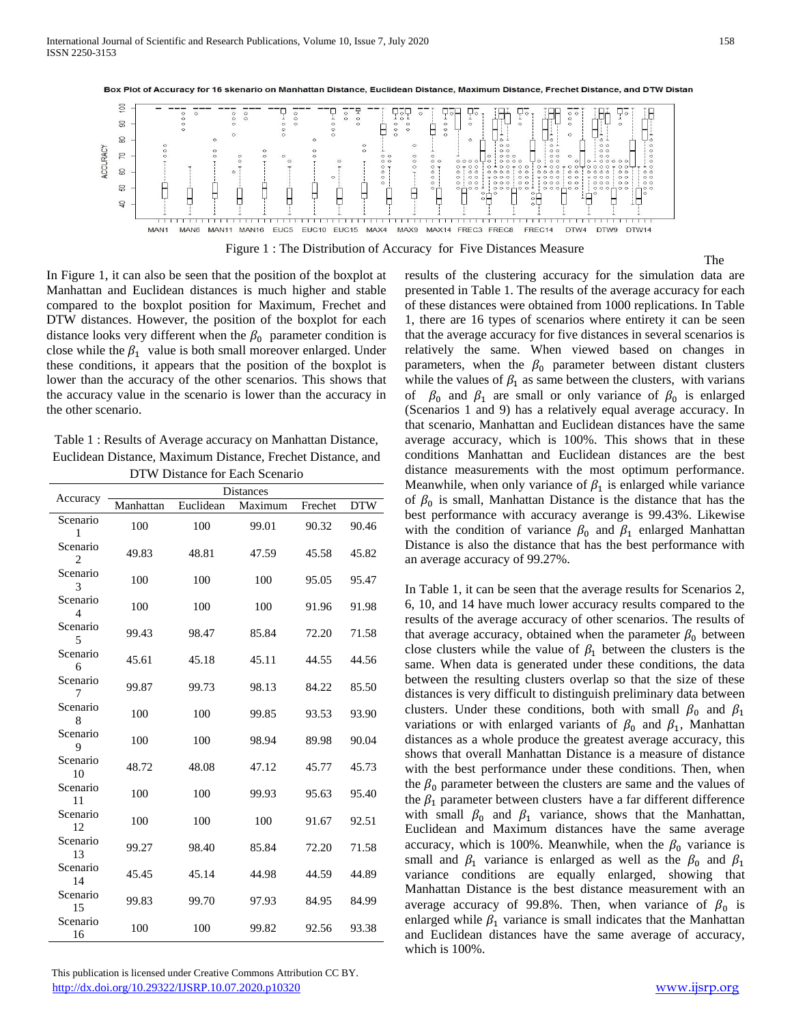

Box Plot of Accuracy for 16 skenario on Manhattan Distance, Euclidean Distance, Maximum Distance, Frechet Distance, and DTW Distan

Figure 1 : The Distribution of Accuracy for Five Distances Measure

In Figure 1, it can also be seen that the position of the boxplot at Manhattan and Euclidean distances is much higher and stable compared to the boxplot position for Maximum, Frechet and DTW distances. However, the position of the boxplot for each distance looks very different when the  $\beta_0$  parameter condition is close while the  $\beta_1$  value is both small moreover enlarged. Under these conditions, it appears that the position of the boxplot is lower than the accuracy of the other scenarios. This shows that the accuracy value in the scenario is lower than the accuracy in the other scenario.

Table 1 : Results of Average accuracy on Manhattan Distance, Euclidean Distance, Maximum Distance, Frechet Distance, and DTW Distance for Each Scenario

| Accuracy                   | <b>Distances</b> |           |         |         |            |  |
|----------------------------|------------------|-----------|---------|---------|------------|--|
|                            | Manhattan        | Euclidean | Maximum | Frechet | <b>DTW</b> |  |
| Scenario<br>1              | 100              | 100       | 99.01   | 90.32   | 90.46      |  |
| Scenario<br>$\overline{c}$ | 49.83            | 48.81     | 47.59   | 45.58   | 45.82      |  |
| Scenario<br>3              | 100              | 100       | 100     | 95.05   | 95.47      |  |
| Scenario<br>4              | 100              | 100       | 100     | 91.96   | 91.98      |  |
| Scenario<br>5              | 99.43            | 98.47     | 85.84   | 72.20   | 71.58      |  |
| Scenario<br>6              | 45.61            | 45.18     | 45.11   | 44.55   | 44.56      |  |
| Scenario<br>7              | 99.87            | 99.73     | 98.13   | 84.22   | 85.50      |  |
| Scenario<br>8              | 100              | 100       | 99.85   | 93.53   | 93.90      |  |
| Scenario<br>9              | 100              | 100       | 98.94   | 89.98   | 90.04      |  |
| Scenario<br>10             | 48.72            | 48.08     | 47.12   | 45.77   | 45.73      |  |
| Scenario<br>11             | 100              | 100       | 99.93   | 95.63   | 95.40      |  |
| Scenario<br>12             | 100              | 100       | 100     | 91.67   | 92.51      |  |
| Scenario<br>13             | 99.27            | 98.40     | 85.84   | 72.20   | 71.58      |  |
| Scenario<br>14             | 45.45            | 45.14     | 44.98   | 44.59   | 44.89      |  |
| Scenario<br>15             | 99.83            | 99.70     | 97.93   | 84.95   | 84.99      |  |
| Scenario<br>16             | 100              | 100       | 99.82   | 92.56   | 93.38      |  |

 This publication is licensed under Creative Commons Attribution CC BY. <http://dx.doi.org/10.29322/IJSRP.10.07.2020.p10320> [www.ijsrp.org](http://ijsrp.org/)

The results of the clustering accuracy for the simulation data are presented in Table 1. The results of the average accuracy for each of these distances were obtained from 1000 replications. In Table 1, there are 16 types of scenarios where entirety it can be seen that the average accuracy for five distances in several scenarios is relatively the same. When viewed based on changes in parameters, when the  $\beta_0$  parameter between distant clusters while the values of  $\beta_1$  as same between the clusters, with varians of  $\beta_0$  and  $\beta_1$  are small or only variance of  $\beta_0$  is enlarged (Scenarios 1 and 9) has a relatively equal average accuracy. In that scenario, Manhattan and Euclidean distances have the same average accuracy, which is 100%. This shows that in these conditions Manhattan and Euclidean distances are the best distance measurements with the most optimum performance. Meanwhile, when only variance of  $\beta_1$  is enlarged while variance of  $\beta_0$  is small, Manhattan Distance is the distance that has the best performance with accuracy averange is 99.43%. Likewise with the condition of variance  $\beta_0$  and  $\beta_1$  enlarged Manhattan Distance is also the distance that has the best performance with an average accuracy of 99.27%.

In Table 1, it can be seen that the average results for Scenarios 2, 6, 10, and 14 have much lower accuracy results compared to the results of the average accuracy of other scenarios. The results of that average accuracy, obtained when the parameter  $\beta_0$  between close clusters while the value of  $\beta_1$  between the clusters is the same. When data is generated under these conditions, the data between the resulting clusters overlap so that the size of these distances is very difficult to distinguish preliminary data between clusters. Under these conditions, both with small  $\beta_0$  and  $\beta_1$ variations or with enlarged variants of  $\beta_0$  and  $\beta_1$ , Manhattan distances as a whole produce the greatest average accuracy, this shows that overall Manhattan Distance is a measure of distance with the best performance under these conditions. Then, when the  $\beta_0$  parameter between the clusters are same and the values of the  $\beta_1$  parameter between clusters have a far different difference with small  $\beta_0$  and  $\beta_1$  variance, shows that the Manhattan, Euclidean and Maximum distances have the same average accuracy, which is 100%. Meanwhile, when the  $\beta_0$  variance is small and  $\beta_1$  variance is enlarged as well as the  $\beta_0$  and  $\beta_1$ variance conditions are equally enlarged, showing that Manhattan Distance is the best distance measurement with an average accuracy of 99.8%. Then, when variance of  $\beta_0$  is enlarged while  $\beta_1$  variance is small indicates that the Manhattan and Euclidean distances have the same average of accuracy, which is 100%.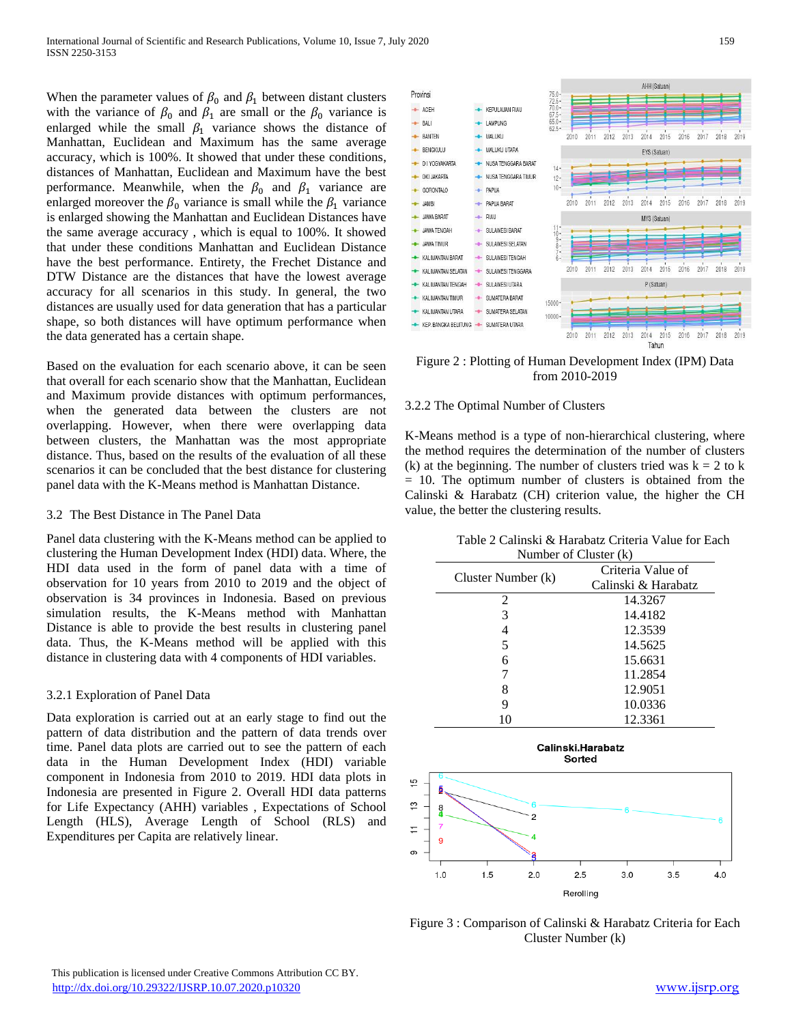When the parameter values of  $\beta_0$  and  $\beta_1$  between distant clusters with the variance of  $\beta_0$  and  $\beta_1$  are small or the  $\beta_0$  variance is enlarged while the small  $\beta_1$  variance shows the distance of Manhattan, Euclidean and Maximum has the same average accuracy, which is 100%. It showed that under these conditions, distances of Manhattan, Euclidean and Maximum have the best performance. Meanwhile, when the  $\beta_0$  and  $\beta_1$  variance are enlarged moreover the  $\beta_0$  variance is small while the  $\beta_1$  variance is enlarged showing the Manhattan and Euclidean Distances have the same average accuracy , which is equal to 100%. It showed that under these conditions Manhattan and Euclidean Distance have the best performance. Entirety, the Frechet Distance and DTW Distance are the distances that have the lowest average accuracy for all scenarios in this study. In general, the two distances are usually used for data generation that has a particular shape, so both distances will have optimum performance when the data generated has a certain shape.

Based on the evaluation for each scenario above, it can be seen that overall for each scenario show that the Manhattan, Euclidean and Maximum provide distances with optimum performances, when the generated data between the clusters are not overlapping. However, when there were overlapping data between clusters, the Manhattan was the most appropriate distance. Thus, based on the results of the evaluation of all these scenarios it can be concluded that the best distance for clustering panel data with the K-Means method is Manhattan Distance.

## 3.2 The Best Distance in The Panel Data

Panel data clustering with the K-Means method can be applied to clustering the Human Development Index (HDI) data. Where, the HDI data used in the form of panel data with a time of observation for 10 years from 2010 to 2019 and the object of observation is 34 provinces in Indonesia. Based on previous simulation results, the K-Means method with Manhattan Distance is able to provide the best results in clustering panel data. Thus, the K-Means method will be applied with this distance in clustering data with 4 components of HDI variables.

# 3.2.1 Exploration of Panel Data

Data exploration is carried out at an early stage to find out the pattern of data distribution and the pattern of data trends over time. Panel data plots are carried out to see the pattern of each data in the Human Development Index (HDI) variable component in Indonesia from 2010 to 2019. HDI data plots in Indonesia are presented in Figure 2. Overall HDI data patterns for Life Expectancy (AHH) variables , Expectations of School Length (HLS), Average Length of School (RLS) and Expenditures per Capita are relatively linear.



Figure 2 : Plotting of Human Development Index (IPM) Data from 2010-2019

# 3.2.2 The Optimal Number of Clusters

K-Means method is a type of non-hierarchical clustering, where the method requires the determination of the number of clusters (k) at the beginning. The number of clusters tried was  $k = 2$  to k = 10. The optimum number of clusters is obtained from the Calinski & Harabatz (CH) criterion value, the higher the CH value, the better the clustering results.

| Table 2 Calinski & Harabatz Criteria Value for Each |  |
|-----------------------------------------------------|--|
| Number of Cluster (k)                               |  |

| 1.4                |                     |  |  |  |
|--------------------|---------------------|--|--|--|
| Cluster Number (k) | Criteria Value of   |  |  |  |
|                    | Calinski & Harabatz |  |  |  |
| 2                  | 14.3267             |  |  |  |
| 3                  | 14.4182             |  |  |  |
|                    | 12.3539             |  |  |  |
| 5                  | 14.5625             |  |  |  |
| 6                  | 15.6631             |  |  |  |
|                    | 11.2854             |  |  |  |
| 8                  | 12.9051             |  |  |  |
| 9                  | 10.0336             |  |  |  |
| 10                 | 12.3361             |  |  |  |



Figure 3 : Comparison of Calinski & Harabatz Criteria for Each Cluster Number (k)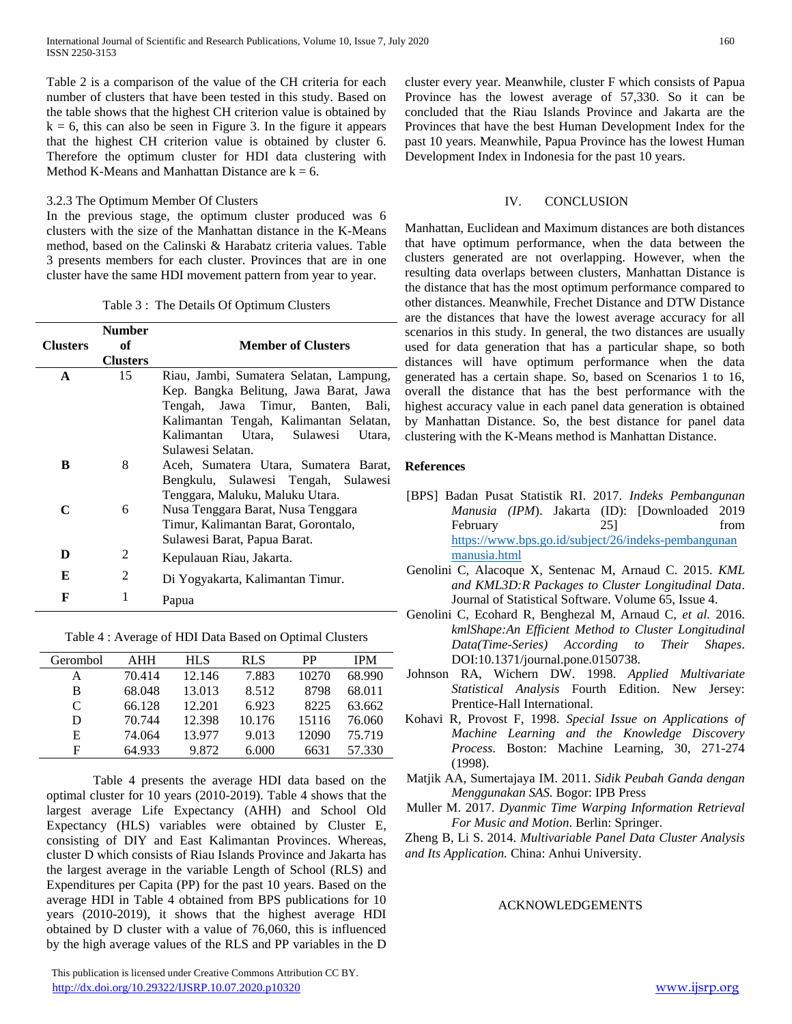Table 2 is a comparison of the value of the CH criteria for each number of clusters that have been tested in this study. Based on the table shows that the highest CH criterion value is obtained by  $k = 6$ , this can also be seen in Figure 3. In the figure it appears that the highest CH criterion value is obtained by cluster 6. Therefore the optimum cluster for HDI data clustering with Method K-Means and Manhattan Distance are  $k = 6$ .

#### 3.2.3 The Optimum Member Of Clusters

In the previous stage, the optimum cluster produced was 6 clusters with the size of the Manhattan distance in the K-Means method, based on the Calinski & Harabatz criteria values. Table 3 presents members for each cluster. Provinces that are in one cluster have the same HDI movement pattern from year to year.

Table 3 : The Details Of Optimum Clusters

| <b>Clusters</b> | <b>Number</b><br>оf<br><b>Clusters</b> | <b>Member of Clusters</b>               |  |  |  |
|-----------------|----------------------------------------|-----------------------------------------|--|--|--|
| A               | 15                                     | Riau, Jambi, Sumatera Selatan, Lampung, |  |  |  |
|                 |                                        | Kep. Bangka Belitung, Jawa Barat, Jawa  |  |  |  |
|                 |                                        | Tengah, Jawa Timur, Banten, Bali,       |  |  |  |
|                 |                                        | Kalimantan Tengah, Kalimantan Selatan,  |  |  |  |
|                 |                                        | Kalimantan Utara, Sulawesi<br>Utara,    |  |  |  |
|                 |                                        | Sulawesi Selatan.                       |  |  |  |
| в               | 8                                      | Aceh, Sumatera Utara, Sumatera Barat,   |  |  |  |
|                 |                                        | Bengkulu, Sulawesi Tengah, Sulawesi     |  |  |  |
|                 |                                        | Tenggara, Maluku, Maluku Utara.         |  |  |  |
| C               | 6                                      | Nusa Tenggara Barat, Nusa Tenggara      |  |  |  |
|                 |                                        | Timur, Kalimantan Barat, Gorontalo,     |  |  |  |
|                 |                                        | Sulawesi Barat, Papua Barat.            |  |  |  |
| D               | $\mathfrak{D}$                         | Kepulauan Riau, Jakarta.                |  |  |  |
| E               | $\mathfrak{D}$                         | Di Yogyakarta, Kalimantan Timur.        |  |  |  |
| F               | 1                                      | Papua                                   |  |  |  |

Table 4 : Average of HDI Data Based on Optimal Clusters

| Gerombol | <b>AHH</b> | <b>HLS</b> | <b>RLS</b> | <b>PP</b> | <b>IPM</b> |
|----------|------------|------------|------------|-----------|------------|
| А        | 70.414     | 12.146     | 7.883      | 10270     | 68.990     |
| B        | 68.048     | 13.013     | 8.512      | 8798      | 68.011     |
| C        | 66.128     | 12.201     | 6.923      | 8225      | 63.662     |
| D        | 70.744     | 12.398     | 10.176     | 15116     | 76.060     |
| Е        | 74.064     | 13.977     | 9.013      | 12090     | 75.719     |
| F        | 64.933     | 9.872      | 6.000      | 6631      | 57.330     |

Table 4 presents the average HDI data based on the optimal cluster for 10 years (2010-2019). Table 4 shows that the largest average Life Expectancy (AHH) and School Old Expectancy (HLS) variables were obtained by Cluster E, consisting of DIY and East Kalimantan Provinces. Whereas, cluster D which consists of Riau Islands Province and Jakarta has the largest average in the variable Length of School (RLS) and Expenditures per Capita (PP) for the past 10 years. Based on the average HDI in Table 4 obtained from BPS publications for 10 years (2010-2019), it shows that the highest average HDI obtained by D cluster with a value of 76,060, this is influenced by the high average values of the RLS and PP variables in the D

 This publication is licensed under Creative Commons Attribution CC BY. <http://dx.doi.org/10.29322/IJSRP.10.07.2020.p10320> [www.ijsrp.org](http://ijsrp.org/)

cluster every year. Meanwhile, cluster F which consists of Papua Province has the lowest average of 57,330. So it can be concluded that the Riau Islands Province and Jakarta are the Provinces that have the best Human Development Index for the past 10 years. Meanwhile, Papua Province has the lowest Human Development Index in Indonesia for the past 10 years.

#### IV. CONCLUSION

Manhattan, Euclidean and Maximum distances are both distances that have optimum performance, when the data between the clusters generated are not overlapping. However, when the resulting data overlaps between clusters, Manhattan Distance is the distance that has the most optimum performance compared to other distances. Meanwhile, Frechet Distance and DTW Distance are the distances that have the lowest average accuracy for all scenarios in this study. In general, the two distances are usually used for data generation that has a particular shape, so both distances will have optimum performance when the data generated has a certain shape. So, based on Scenarios 1 to 16, overall the distance that has the best performance with the highest accuracy value in each panel data generation is obtained by Manhattan Distance. So, the best distance for panel data clustering with the K-Means method is Manhattan Distance.

## **References**

- [BPS] Badan Pusat Statistik RI. 2017. *Indeks Pembangunan Manusia (IPM*). Jakarta (ID): [Downloaded 2019 February 25] from [https://www.bps.go.id/subject/26/indeks-pembangunan](https://www.bps.go.id/subject/26/indeks-pembangunan%20manusia.html#subjekViewTab1)  [manusia.html](https://www.bps.go.id/subject/26/indeks-pembangunan%20manusia.html#subjekViewTab1)
- Genolini C, Alacoque X, Sentenac M, Arnaud C. 2015. *KML and KML3D:R Packages to Cluster Longitudinal Data*. Journal of Statistical Software. Volume 65, Issue 4.
- Genolini C, Ecohard R, Benghezal M, Arnaud C, *et al.* 2016. *kmlShape:An Efficient Method to Cluster Longitudinal Data(Time-Series) According to Their Shapes*. DOI:10.1371/journal.pone.0150738.
- Johnson RA, Wichern DW. 1998. *Applied Multivariate Statistical Analysis* Fourth Edition. New Jersey: Prentice-Hall International.
- Kohavi R, Provost F, 1998. *Special Issue on Applications of Machine Learning and the Knowledge Discovery Process*. Boston: Machine Learning, 30, 271-274 (1998).
- Matjik AA, Sumertajaya IM. 2011. *Sidik Peubah Ganda dengan Menggunakan SAS.* Bogor: IPB Press
- Muller M. 2017. *Dyanmic Time Warping Information Retrieval For Music and Motion*. Berlin: Springer.

Zheng B, Li S. 2014. *Multivariable Panel Data Cluster Analysis and Its Application.* China: Anhui University.

#### ACKNOWLEDGEMENTS